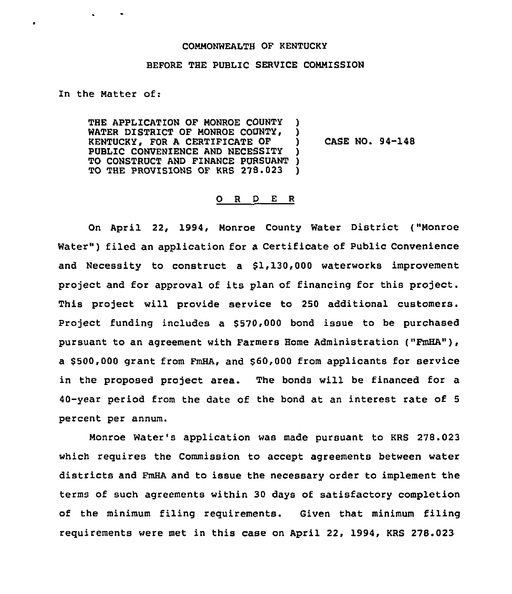## COMMONWEALTH OF KENTUCKY

## BEFORE THE PUBLIC SERVICE COMMISSION

In the Natter of:

 $\bullet$ 

THE APPLICATION OF MONROE COUNTY WATER DISTRICT OF MONROE COUNTY, KENTUCKY, FOR <sup>A</sup> CERTIFICATE OF ) PUBLIC CONVENIENCE AND NECESSITY TO CONSTRUCT AND FINANCE PURSUANT )<br>TO THE PROVISIONS OF KRS 278.023 ) TO THE PROVISIONS OF KRS 278.023

CASE NO. 94-148

## 0 R <sup>D</sup> E R

On April 22, 1994, Nonroe County Water District ("Monroe Water") filed an application for a Certificate of Public Convenience and Necessity to construct a \$1,130,000 waterworks improvement project and for approval of its plan of financing for this project. This project will provide service to 250 additional customers. Project funding includes a  $$570,000$  bond issue to be purchased pursuant to an agreement with Farmers Home Administration ("FmHA"), a \$ 500,000 grant from FmHA, and \$ 60,000 from applicants for service in the proposed project area. The bonds will be financed for a 40-year period from the date of the bond at an interest rate of <sup>5</sup> percent per annum.

Monroe Water's application was made pursuant to KRS 278.023 which requires the Commission to accept agreements between water districts and FmHA and to issue the necessary order to implement the terms of such agreements within 30 days of satisfactory completion of the minimum filing requirements. Given that minimum filing requirements were met in this case on April 22, 1994, KRS 278.023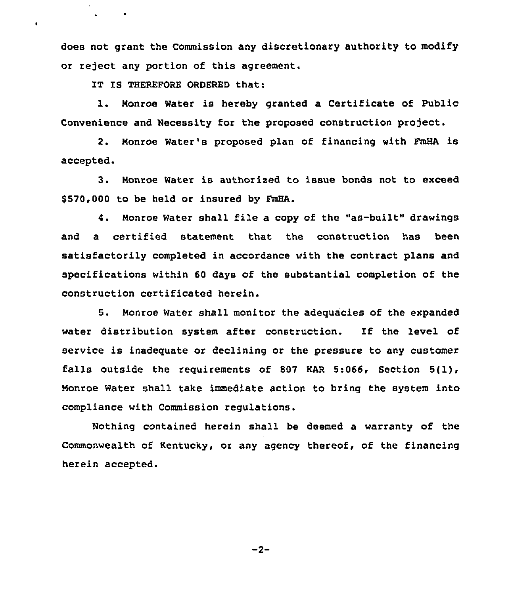does not grant the Commission any discretionary authority to modify or reject any portion of this agreement.

IT IS THEREFORE ORDERED that:

 $\ddot{\phantom{0}}$ 

1. Monroe Water is hereby granted <sup>a</sup> Certificate of Public Convenience and Necessity for the proposed construction project.

2. Monroe Water's proposed plan of financing with FmHA is accepted.

3. Monroe Water is authorised to issue bonds not to exceed \$570,000 to be held or insured by FmHA.

4. Monroe Water shall file a copy of the "as-built" drawings and a certified statement that the construction has been satisfactorily completed in accordance with the contract plans and specifications within 60 days of the substantial completion of the construction certificated herein.

5. Monroe Water shall monitor the adequacies of the expanded water distribution system after construction. If the level of service is inadequate or declining or the pressure to any customer falls outside the requirements of 807 KAR 5:066, Section 5(1), Monroe Water shall take immediate action to bring the system into compliance with Commission regulations.

Nothing contained herein shall be deemed a warranty of the Commonwealth of Kentucky, or any agency thereof, of the financing herein accepted.

 $-2-$